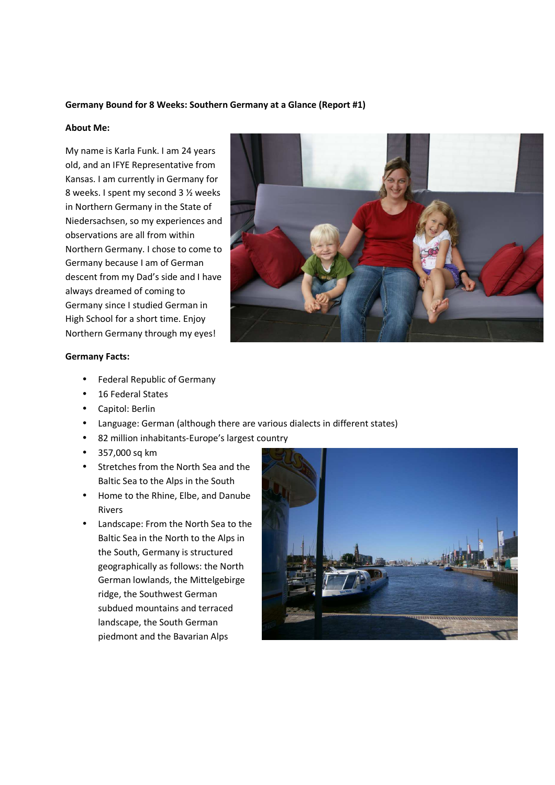### **Germany Bound for 8 Weeks: Southern Germany at a Glance (Report #1)**

#### **About Me:**

My name is Karla Funk. I am 24 years old, and an IFYE Representative from Kansas. I am currently in Germany for 8 weeks. I spent my second 3 ½ weeks in Northern Germany in the State of Niedersachsen, so my experiences and observations are all from within Northern Germany. I chose to come to Germany because I am of German descent from my Dad's side and I have always dreamed of coming to Germany since I studied German in High School for a short time. Enjoy Northern Germany through my eyes!



### **Germany Facts:**

- Federal Republic of Germany
- 16 Federal States
- Capitol: Berlin
- Language: German (although there are various dialects in different states)
- 82 million inhabitants-Europe's largest country
- 357,000 sq km
- Stretches from the North Sea and the Baltic Sea to the Alps in the South
- Home to the Rhine, Elbe, and Danube Rivers
- Landscape: From the North Sea to the Baltic Sea in the North to the Alps in the South, Germany is structured geographically as follows: the North German lowlands, the Mittelgebirge ridge, the Southwest German subdued mountains and terraced landscape, the South German piedmont and the Bavarian Alps

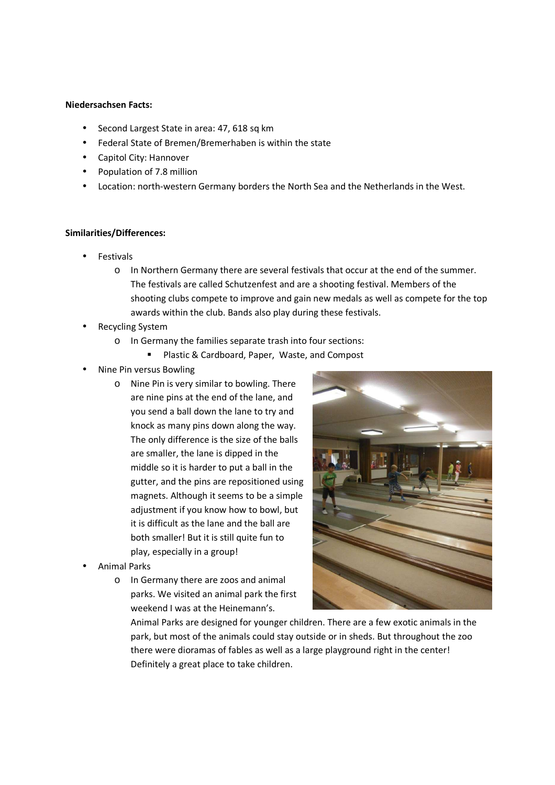### **Niedersachsen Facts:**

- Second Largest State in area: 47, 618 sq km
- Federal State of Bremen/Bremerhaben is within the state
- Capitol City: Hannover
- Population of 7.8 million
- Location: north-western Germany borders the North Sea and the Netherlands in the West.

### **Similarities/Differences:**

- **Festivals** 
	- o In Northern Germany there are several festivals that occur at the end of the summer. The festivals are called Schutzenfest and are a shooting festival. Members of the shooting clubs compete to improve and gain new medals as well as compete for the top awards within the club. Bands also play during these festivals.
- Recycling System
	- o In Germany the families separate trash into four sections:
		- **Plastic & Cardboard, Paper, Waste, and Compost**
- Nine Pin versus Bowling
	- o Nine Pin is very similar to bowling. There are nine pins at the end of the lane, and you send a ball down the lane to try and knock as many pins down along the way. The only difference is the size of the balls are smaller, the lane is dipped in the middle so it is harder to put a ball in the gutter, and the pins are repositioned using magnets. Although it seems to be a simple adjustment if you know how to bowl, but it is difficult as the lane and the ball are both smaller! But it is still quite fun to play, especially in a group!
- Animal Parks
	- o In Germany there are zoos and animal parks. We visited an animal park the first weekend I was at the Heinemann's.



Animal Parks are designed for younger children. There are a few exotic animals in the park, but most of the animals could stay outside or in sheds. But throughout the zoo there were dioramas of fables as well as a large playground right in the center! Definitely a great place to take children.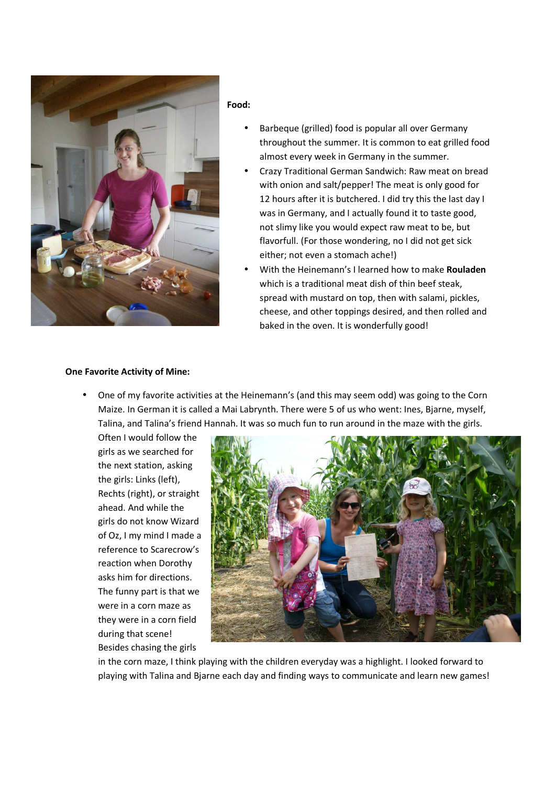

#### **Food:**

- Barbeque (grilled) food is popular all over Germany throughout the summer. It is common to eat grilled food almost every week in Germany in the summer.
- Crazy Traditional German Sandwich: Raw meat on bread with onion and salt/pepper! The meat is only good for 12 hours after it is butchered. I did try this the last day I was in Germany, and I actually found it to taste good, not slimy like you would expect raw meat to be, but flavorfull. (For those wondering, no I did not get sick either; not even a stomach ache!)
- With the Heinemann's I learned how to make **Rouladen** which is a traditional meat dish of thin beef steak, spread with mustard on top, then with salami, pickles, cheese, and other toppings desired, and then rolled and baked in the oven. It is wonderfully good!

# **One Favorite Activity of Mine:**

• One of my favorite activities at the Heinemann's (and this may seem odd) was going to the Corn Maize. In German it is called a Mai Labrynth. There were 5 of us who went: Ines, Bjarne, myself, Talina, and Talina's friend Hannah. It was so much fun to run around in the maze with the girls.

Often I would follow the girls as we searched for the next station, asking the girls: Links (left), Rechts (right), or straight ahead. And while the girls do not know Wizard of Oz, I my mind I made a reference to Scarecrow's reaction when Dorothy asks him for directions. The funny part is that we were in a corn maze as they were in a corn field during that scene! Besides chasing the girls



in the corn maze, I think playing with the children everyday was a highlight. I looked forward to playing with Talina and Bjarne each day and finding ways to communicate and learn new games!